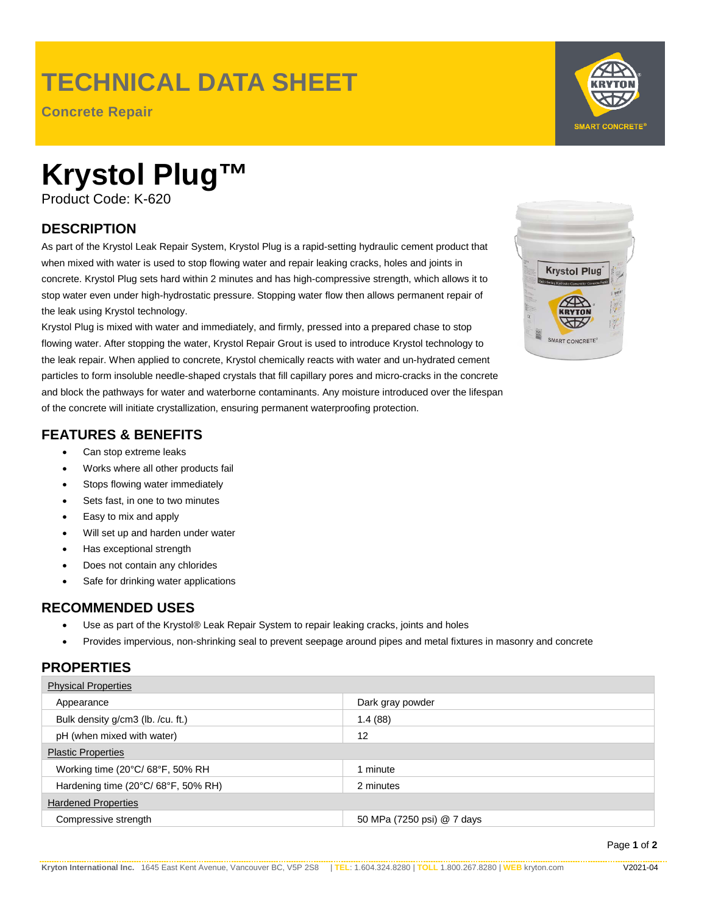# **TECHNICAL DATA SHEET**

**Concrete Repair**

# **Krystol Plug™**

Product Code: K-620

# **DESCRIPTION**

As part of the Krystol Leak Repair System, Krystol Plug is a rapid-setting hydraulic cement product that when mixed with water is used to stop flowing water and repair leaking cracks, holes and joints in concrete. Krystol Plug sets hard within 2 minutes and has high-compressive strength, which allows it to stop water even under high-hydrostatic pressure. Stopping water flow then allows permanent repair of the leak using Krystol technology.

Krystol Plug is mixed with water and immediately, and firmly, pressed into a prepared chase to stop flowing water. After stopping the water, Krystol Repair Grout is used to introduce Krystol technology to the leak repair. When applied to concrete, Krystol chemically reacts with water and un-hydrated cement particles to form insoluble needle-shaped crystals that fill capillary pores and micro-cracks in the concrete and block the pathways for water and waterborne contaminants. Any moisture introduced over the lifespan of the concrete will initiate crystallization, ensuring permanent waterproofing protection.

### **FEATURES & BENEFITS**

- Can stop extreme leaks
- Works where all other products fail
- Stops flowing water immediately
- Sets fast, in one to two minutes
- Easy to mix and apply
- Will set up and harden under water
- Has exceptional strength
- Does not contain any chlorides
- Safe for drinking water applications

#### **RECOMMENDED USES**

- Use as part of the Krystol® Leak Repair System to repair leaking cracks, joints and holes
- Provides impervious, non-shrinking seal to prevent seepage around pipes and metal fixtures in masonry and concrete

#### **PROPERTIES**

| <b>Physical Properties</b>         |                            |
|------------------------------------|----------------------------|
| Appearance                         | Dark gray powder           |
| Bulk density g/cm3 (lb. /cu. ft.)  | 1.4(88)                    |
| pH (when mixed with water)         | 12                         |
| <b>Plastic Properties</b>          |                            |
| Working time (20°C/68°F, 50% RH    | 1 minute                   |
| Hardening time (20°C/68°F, 50% RH) | 2 minutes                  |
| <b>Hardened Properties</b>         |                            |
| Compressive strength               | 50 MPa (7250 psi) @ 7 days |



**RVTON** 

**SMART CONCRETE**